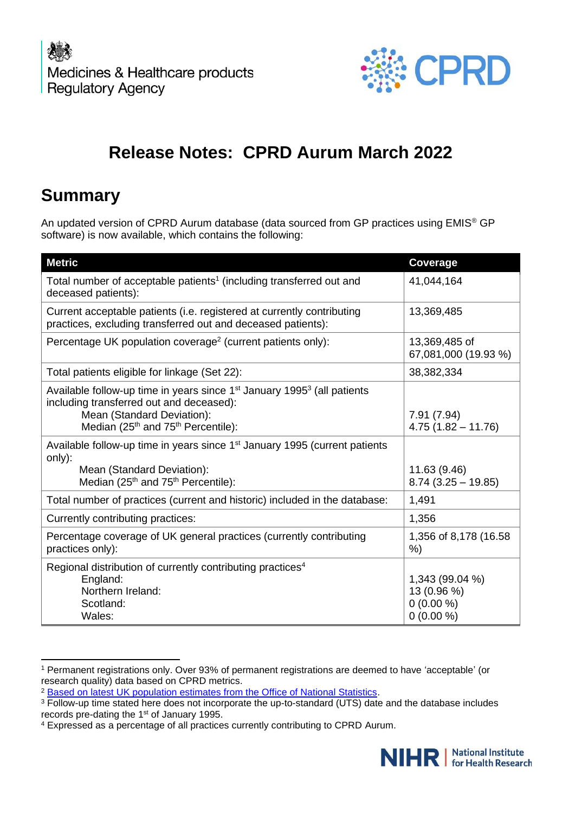

# **Release Notes: CPRD Aurum March 2022**

# **Summary**

An updated version of CPRD Aurum database (data sourced from GP practices using EMIS® GP software) is now available, which contains the following:

| <b>Metric</b>                                                                                                                                                                                                                 | Coverage                                                     |
|-------------------------------------------------------------------------------------------------------------------------------------------------------------------------------------------------------------------------------|--------------------------------------------------------------|
| Total number of acceptable patients <sup>1</sup> (including transferred out and<br>deceased patients):                                                                                                                        | 41,044,164                                                   |
| Current acceptable patients (i.e. registered at currently contributing<br>practices, excluding transferred out and deceased patients):                                                                                        | 13,369,485                                                   |
| Percentage UK population coverage <sup>2</sup> (current patients only):                                                                                                                                                       | 13,369,485 of<br>67,081,000 (19.93 %)                        |
| Total patients eligible for linkage (Set 22):                                                                                                                                                                                 | 38,382,334                                                   |
| Available follow-up time in years since $1st$ January 1995 <sup>3</sup> (all patients<br>including transferred out and deceased):<br>Mean (Standard Deviation):<br>Median (25 <sup>th</sup> and 75 <sup>th</sup> Percentile): | 7.91(7.94)<br>$4.75(1.82 - 11.76)$                           |
| Available follow-up time in years since 1 <sup>st</sup> January 1995 (current patients<br>only):<br>Mean (Standard Deviation):<br>Median (25 <sup>th</sup> and 75 <sup>th</sup> Percentile):                                  | 11.63 (9.46)<br>$8.74$ (3.25 - 19.85)                        |
| Total number of practices (current and historic) included in the database:                                                                                                                                                    | 1,491                                                        |
| Currently contributing practices:                                                                                                                                                                                             | 1,356                                                        |
| Percentage coverage of UK general practices (currently contributing<br>practices only):                                                                                                                                       | 1,356 of 8,178 (16.58)<br>%)                                 |
| Regional distribution of currently contributing practices <sup>4</sup><br>England:<br>Northern Ireland:<br>Scotland:<br>Wales:                                                                                                | 1,343 (99.04 %)<br>13 (0.96 %)<br>$0(0.00\%)$<br>$0(0.00\%)$ |

<sup>1</sup> Permanent registrations only. Over 93% of permanent registrations are deemed to have 'acceptable' (or research quality) data based on CPRD metrics.

<sup>4</sup> Expressed as a percentage of all practices currently contributing to CPRD Aurum.



<sup>2</sup> [Based on latest UK population estimates from the Office of National Statistics.](https://www.ons.gov.uk/peoplepopulationandcommunity/populationandmigration/populationestimates)

<sup>&</sup>lt;sup>3</sup> Follow-up time stated here does not incorporate the up-to-standard (UTS) date and the database includes records pre-dating the 1st of January 1995.